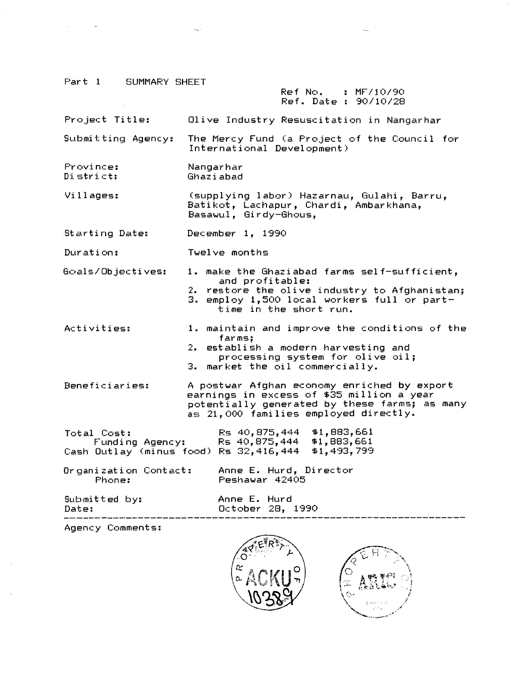Part 1 SUMMARY SHEET

#### Ref: No. Ref. Date : 90/10/28  $\blacksquare$  MF/10/90

Project Title: Olive Industry Resuscitation in Nangarhar

Submitting Agency: The Mercy Fund (a Project of the Council for International Development)

Province: District: Nangar har Ghaziabad

Villages: (supplying labor) Hazarnau, Gulahi, Barru, Batikot, Lachapur, Chardi, Ambarkhana, Basawul, Girdy-Ghous,

Starting Date: December 1, 1990

Duration: Twelve months

Goals/Objectives: 1. make the Ghaziabad farms self-sufficient, and profitable: 2. restore the olive industry to Afghanistan;

- 3. employ 1,500 local workers full or parttime in the short run.
- Activities: 1. maintain and improve the conditions of the farms; 2. establish *a* modern harvesting and
	- $processing$  system for olive oil; 3. market the oil commercially.

Beneficiaries: A postwar Afghan economy enriched by export earnings in excess of \$35 million *a* year potentially generated by these farms; as many as 21,000 families employed directly.

| Total Cost:                                        | Rs 40,875,444 \$1,883,661 |  |
|----------------------------------------------------|---------------------------|--|
| Funding Agency:                                    | Rs 40,875,444 \$1,883,661 |  |
| Cash Outlay (minus food) Rs 32,416,444 \$1,493,799 |                           |  |

Organization Contact:<br>Phone: Anne E. Hurd, Director Peshawar 42405

 $Submitted$  by: Date:

Anne E. Hurd October 28, 1990

Agency Comments:



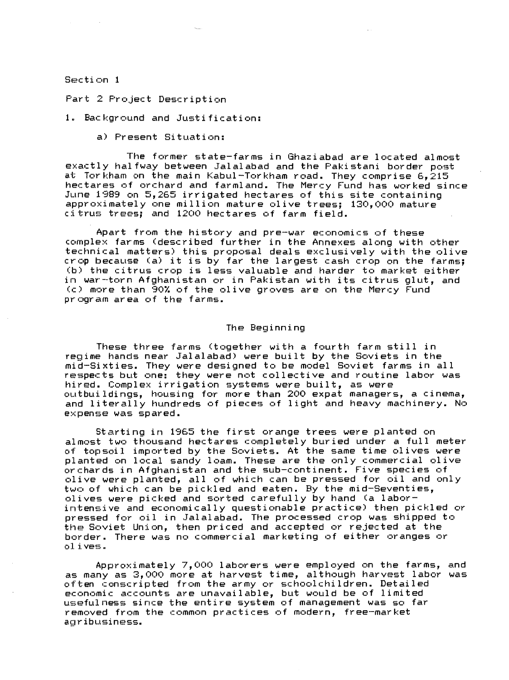Section 1

Part 2 Project Description

1. Background and Justification:

a) Present Situation:

The former state-farms in Ghaziabad are located almost exactly halfway between Jalalabad and the Pakistani border post at Torkham on the main Kabul-Torkham road. They comprise 6,215 hectares of orchard and farmland. The Mercy Fund has worked since June 1989 on 5,265 irrigated hectares of this site containing approximately one million mature olive trees; 130,000 mature citrus trees; and 1200 hectares of farm field.

Apart from the history and pre-war economics of these complex farms (described further in the Annexes along with other technical matters) this proposal deals exclusively with the olive crop because (a) it is by far the largest cash crop on the farms; (b) the citrus crop is less valuable and harder to market either in war-torn Afghanistan or in Pakistan with its citrus glut, and (c) more than 90% of the olive groves are on the Mercy Fund program area of the farms.

### The Beginning

These three farms (together with a fourth farm still in regime hands near Jalalabad) were built by the Soviets in the mid-Sixties. They were designed to be model Soviet farms in all respects but one: they were not collective and routine labor was hired. Complex irrigation systems were built, as were outbuildings, housing for more than 200 expat managers, *a* cinema, and literally hundreds of pieces of light and heavy machinery. No expense was spared.

Starting in 1965 the first orange trees were planted on almost two thousand hectares completely buried under *a* full meter of topsoil imported by the Soviets. At the same time olives were planted on local sandy loam. These are the only commercial olive orchards in Afghanistan and the sub-continent. Five species of olive were planted, all of which can be pressed for oil and only two of which can be pickled and eaten. By the mid-Seventies, olives were picked and sorted carefully by hand Ca laborintensive and economically questionable practice) then pickled or pressed for oil in Jalalabad. The processed crop was shipped to the Soviet Union, then priced and accepted or rejected at the border. There was no commercial marketing of either oranges or olives.

Approximately 7,000 laborers were employed on the farms, and as many as 3,000 more at harvest time, although harvest labor was as many as by over more av harvesv vime, aloneagh han vest last economic accounts are unavailable, but would be of limited usefulness since the entire system of management was so far removed from the common practices of modern, free-market agribusiness.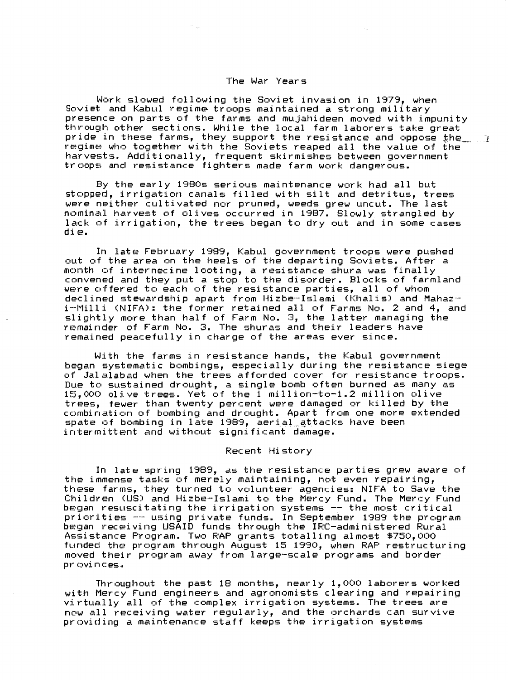# The War Years

Work slowed following the Soviet invasion in 1979, when Soviet and Kabul regime troops maintained a strong military presence on parts of the farms and mujahideen moved with impunity throuqh other sections. While the local farm laborers take great pride in these farms, they support the resistance and oppose the  $\begin{array}{ccc} \hline \end{array}$ regime who together with the Soviets reaped all the value of the harvests. Additionally, frequent skirmishes between government troops and resistance fighters made farm work dangerous.

By the early 1980s serious maintenance work had all but stopped, irrigation canals filled with silt and detritus, trees were neither cultivated nor pruned, weeds grew uncut. The last nominal harvest of olives occurred in 1987. Slowly strangled by lack of irrigation, the trees began to dry out and in some cases  $div:$ 

In late February 1989, Kabul government troops were pushed out of the area on the heels of the departing Soviets. After *a*  month of internecine looting, *a* resistance shura was finally convened and they put *a* stop to the disorder. Blocks of farmland were offered to each of the resistance parties, all of whom declined stewardship apart from Hizbe-Islami <Khalis) and Mahazi-Milli CNIFA): the former retained all of Farms No. 2 and 4, and slightly more than half of Farm No. 3, the latter managing the remainder of Farm No. 3. The shuras and their leaders have remained peacefully in charge of the areas ever since.

With the farms in resistance hands, the Kabul government began systematic bombings, especially during the resistance siege of Jalalabad when the trees afforded cover for resistance troops. Due to sustained drought, *a* single bomb often burned as many as 15,000 olive trees. Yet of the 1 million-to-1.2 million olive trees, fewer than twenty percent were damaged or killed by the combination of bombing and drought. Apart from one more extended spate of bombing in late 1989, aerial\_@ttacks have been intermittent and without significant damage.

# Recent History

In late spring 1989, as the resistance parties grew aware of the immense tasks of merely maintaining, not even repairing, these farms, they turned to volunteer agencies: NIFA to Save the Children <US) and Hizbe-Islami to the Mercy Fund. The Mercy Fund began resuscitating the irrigation systems -- the most critical priorities -- using private funds. In September 1989 the program beqan receiving USAID funds through the IRC-administered Rural Assistance Program. Two RAP grants totalling almost \$750,000 funded the program through August 15 1990, when RAP restructuring moved their program away from large-scale programs and border provinces.

Throughout the past 18 months, nearly 1,000 laborers worked with Mercy Fund engineers and agronomists clearing and repairing virtually all of the complex irrigation systems. The trees are now all receiving water regularly, and the orchards can survive providing *a* maintenance staff keeps the irrigation systems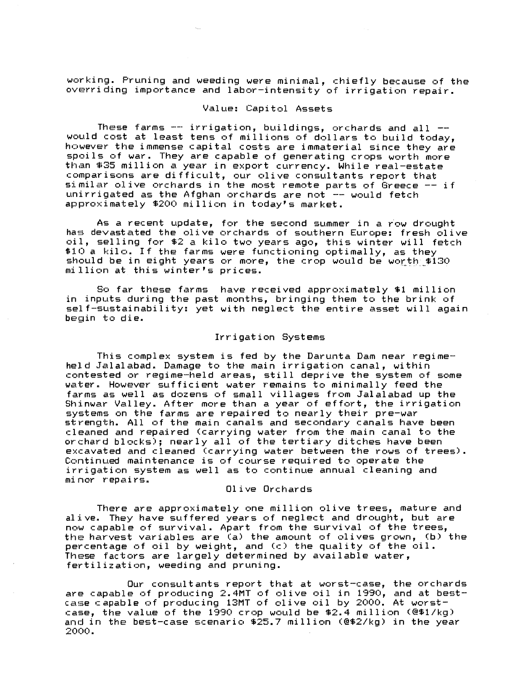working. Pruning and weeding were minimal, chiefly because of the overriding importance and labor-intensity of irrigation repair.

# Value: Capitol Assets

These farms -- irrigation, buildings, orchards and all --<br>would cost at least tens of millions of dollars to build today, however the immense capital costs are immaterial since they are spoils of war. They are capable of generating crops worth more than \$35 million a year in export currency. While real-estate comparisons are difficult, our olive consultants report that similar olive orchards in the most remote parts of Greece  $-$  if unirrigated as the Afghan orchards are not -- would fetch approximately \$200 million in today's market.

As a recent update, for the second summer in a row drought has devastated the olive orchards of southern Europe: fresh olive oil, selling for \$2 a kilo two years ago, this winter will fetch  $$10^{\circ}$  a kilo. If the farms were functioning optimally, as they should be in eight years or more, the crop would be worth  $$130$ million at this winter's prices.

So far these farms have received approximately \$1 million in inputs during the past months, bringing them to the brink of self-sustainability: yet with neglect the entire asset will again begin to die.

### Irrigation Systems

This complex system is fed by the Darunta Dam near regimeheld Jalalabad. Damage to the main irrigation canal, within contested or regime-held areas, still deprive the system of some water. However sufficient water remains to minimally feed the farms as well as dozens of small villages from Jalalabad up the Shinwar Valley. After more than a year of effort, the irrigation systems on the farms are repaired to nearly their pre-war strength. All of the main canals and secondary canals have been cleaned and repaired (carrying water from the main canal to the orchard blocks); nearly all of the tertiary ditches have been excavated and cleaned (carrying water between the rows of trees). Continued maintenance is of course required to operate the irrigation system as well as to continue annual cleaning and  $minor$  repairs.

#### 01 i ve Orchards

There are approximately one million olive trees, mature and alive. They have suffered years of neglect and drought, but are now capable of survival. Apart from the survival of the trees, the harvest variables are (a) the amount of olives grown, (b) the percentage of oil by weight, and  $(c)$  the quality of the  $oil$ . These factors are largely determined by available water, fertilization, weeding and pruning.

Our consultants report that at worst-case, the orchards are capable of producing 2.4MT of olive oil in 1990, and at bestare capable of producing 1.4... of olive oil in 1990, and av Be case, the value of the 1990 crop would be \$2.4 million (@\$1/kg) and in the best-case scenario \$25.7 million (@\$2/kg) in the year 2000.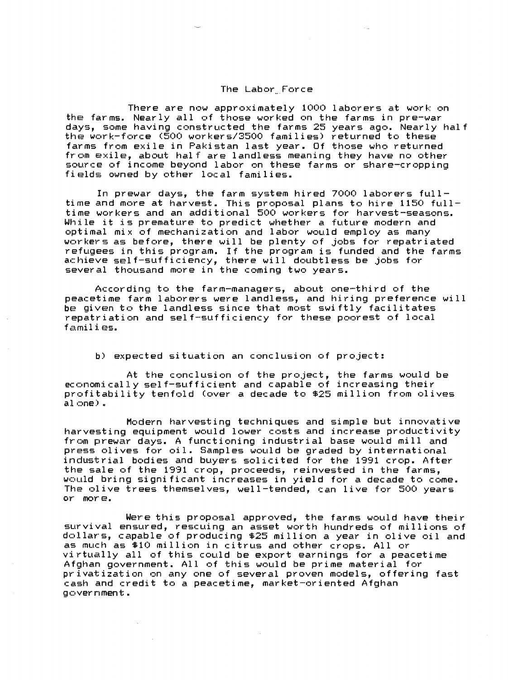### The Labor Force

There are now approximately 1000 laborers *at* work on the farms. Nearly all of those worked on the farms in pre-war days, some having constructed the farms 25 years ago. Nearly half the work-force (500 workers/3500 families) returned to these farms from exile in Pakistan last year. Of those who returned from exile, about half are landless meaning they have no other source of income beyond labor on these farms or share-cropping fields owned by other local families.

In prewar days, the farm system hired 7000 laborers fulltime and more *at* harvest. This proposal plans to hire 1150 fulltime workers and an additional 500 workers for harvest-seasons. While it is premature to predict whether *a* future modern and optimal mix of mechanization and labor would employ as many workers as before, there will be plenty of jobs for repatriated refugees in this program. If the program is funded and the farms achieve self-sufficiency, there will doubtless be jobs for several thousand more in the coming two years.

According to the farm-managers, about one-third of the peacetime farm laborers were landless, and hiring preference will be given to the landless since that most swiftly facilitates repatriation and self-sufficiency for these poorest of local  $f$ amili $g$ s.

b) expected situation an conclusion of project:

At the conclusion of the project, the farms would be economically self-sufficient and capable of increasing their profitability tenfold Cover *a* decade to \$25 million from olives al  $one$ ) .

Modern harvesting techniques and simple but innovative harvesting equipment would lower costs and increase productivity from prewar days. A functioning industrial base would mill and press olives for oil. Samples would be graded by international industrial bodies and buyers solicited for the 1991 crop. After the sale of the 1991 crop, proceeds, reinvested in the farms, would bring significant increases in yield for *a* decade to come. The olive trees themselves, well-tended, can live for 500 years or more.

Were this proposal approved, the farms would have their survival ensured, rescuing an asset worth hundreds of millions of dollars, capable of producing \$25 million *a* year in olive oil and as much as \$10 million in citrus and other crops. All or virtually all of this could be export earnings for *a* peacetime Afghan government. All of this would be prime material for privatization on any one of several proven models, offering fast cash and credit to *a* peacetime, market-oriented Afghan government.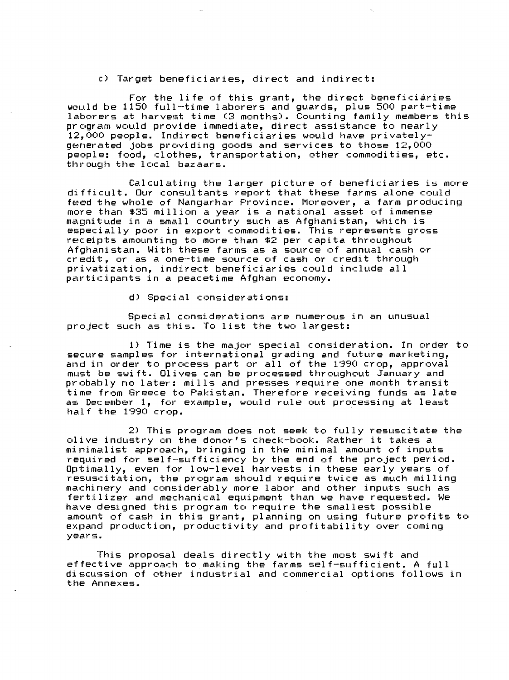c) Target beneficiaries, direct and indirect:

For the life of this grant, the direct beneficiaries would be 1150 full-time laborers and guards, plus 500 part-time laborers at harvest time (3 months). Counting family members this program would provide immediate, direct assistance to nearly 12,000 people. Indirect beneficiaries would have privatelygenerated jobs providing goods and services to those 12,000 people: food, clothes, transportation, other commodities, etc. through the local bazaars.

Calculating the larger picture of beneficiaries is more difficult. Our consultants report that these farms alone could feed the whole of Nangarhar Province. Moreover, a farm producing more than \$35 million a year is a national asset of immense magnitude in a small country such as Afghanistan, which is especially poor in export commodities. This represents gross receipts amounting to more than \$2 per capita throughout Afghanistan. With these farms as a source of annual cash or credit, or as a one-time source of cash or credit through privatization, indirect beneficiaries could include all participants in a peacetime Afghan economy.

d) Special considerations:

Special considerations are numerous in an unusual project such as this. To list the two largest:

1) Time is the major special consideration. In order to secure samples for international grading and future marketing, and in order to process part or all of the 1990 crop, approval must be swift. Olives can be processed throughout January and probably no later: mills and presses require one month transit time from Greece to Pakistan. Therefore receiving funds as late as December 1, for example, would rule out processing at least half the 1990 crop.

2) This program does not seek to fully resuscitate the olive industry on the donor's check-book. Rather it takes a minimalist approach, bringing in the minimal amount of inputs required for self-sufficiency by the end of the project period. Optimally, even for low-level harvests in these early years of resuscitation, the program should require twice as much milling machinery and considerably more labor and other inputs such as fertilizer and mechanical equipment than we have requested. We have designed this program to require the smallest possible amount of cash in this grant, planning on using future profits to expand production, productivity and profitability over coming years.

This proposal deals directly with the most swift and effective approach to making the farms self-sufficient. A full discussion of other industrial and commercial options follows in the Annexes.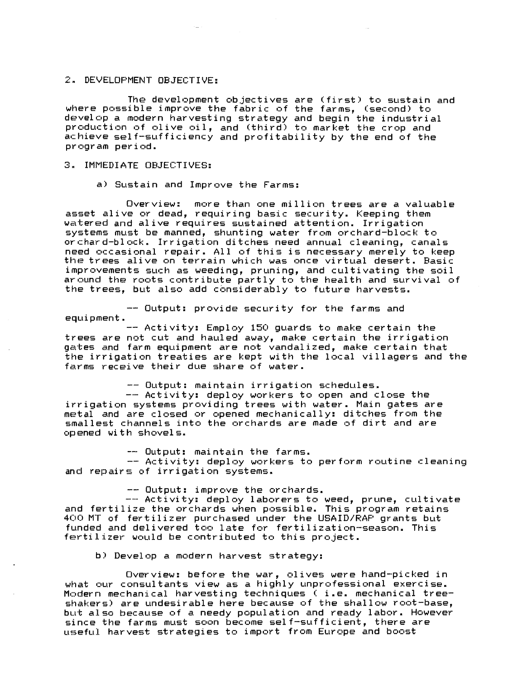# 2. DEVELOPMENT OBJECTIVE:

The development objectives are (first) to sustain and where possible improve the fabric of the farms, (second) to develop *a* modern harvesting strategy and begin the industrial production of olive oil, and (third) to market the crop and achieve self-sufficiency and profitability by the end of the pr c•gr *am* peri c•d.

### 3. IMMEDIATE OBJECTIVES:

a) Sustain and Improve the Farms:

Overview: more than one million trees are *a* valuable asset alive or dead, requiring basic security. Keeping them watered and alive requires sustained attention. Irrigation systems must be manned, shunting water from orchard-block to orchard-block. Irrigation ditches need annual cleaning, canals need occasional repair. All of this is necessary merely to keep the trees alive on terrain which was once virtual desert. Basic improvements such as weeding, pruning, and cultivating the soil around the roots contribute partly to the health and survival of the trees, but also add considerably to future harvests.

Output: provide security for the farms and equipment.

Activity: Employ 150 guards to make certain the trees are not cut and hauled away, make certain the irrigation gates and farm equipment are not vandalized, make certain that the irrigation treaties are kept with the local villagers and the farms receive their due share of water.

-- Output: maintain irrigation schedules.<br>-- Activity: deploy workers to open and close the irrigation systems providing trees with water. Main gates are metal and are closed or opened mechanically: ditches from the smallest channels into the orchards are made of dirt and are c•pened with shovels.

-- Output: maintain the farms.<br>-- Activity: deploy workers to perform routine cleaning and repairs of irrigation systems.

-- Output: improve the orchards.<br>-- Activity: deploy laborers to weed, prune, cultivate and fertilize the orchards when possible. This program retains 400 MT of fertilizer purchased under the USAID/RAP grants but funded and delivered too late for fertilization-season. This fertilizer would be contributed to this project.

b) Develop *a* modern harvest strategy:

Overview: before the war, olives were hand-picked in what our consultants view as *a* highly unprofessional exercise. Modern mechanical harvesting techniques ( i.e. mechanical treeshakers) are undesirable here because of the shallow root-base, but also because of *a* needy population and ready labor. However since the farms must soon become self-sufficient, there are useful harvest strategies to import from Europe and boost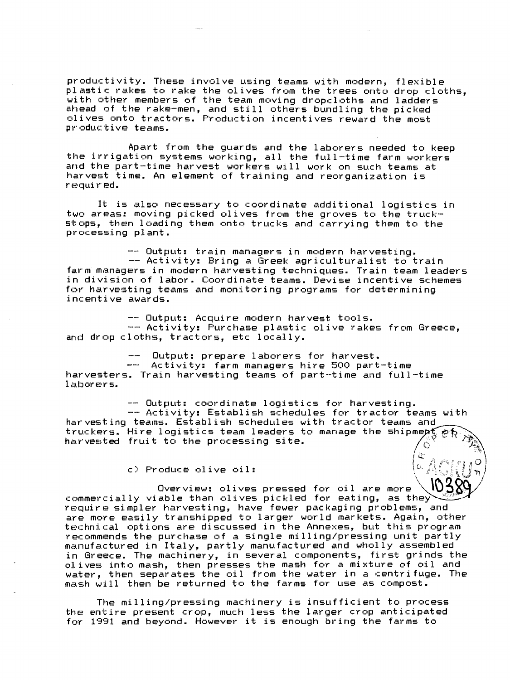productivity. These involve using teams with modern, flexible plastic rakes to rake the olives from the trees onto drop cloths. with other members of the team moving dropcloths and ladders ahead of the rake-men, and still others bundling the picked plives onto tractors. Production incentives reward the most productive teams.

Apart from the guards and the laborers needed to keep the irrigation systems working, all the full-time farm workers and the part-time harvest workers will work on such teams at harvest time. An element of training and reorganization is required.

It is also necessary to coordinate additional logistics in two areas: moving picked olives from the groves to the truckstops, then loading them onto trucks and carrying them to the processing plant.

-- Output: train managers in modern harvesting. -- Activity: Bring a Greek agriculturalist to train farm managers in modern harvesting techniques. Train team leaders in division of labor. Coordinate teams. Devise incentive schemes for harvesting teams and monitoring programs for determining incentive awards.

-- Output: Acquire modern harvest tools. -- Activity: Purchase plastic olive rakes from Greece, and drop cloths, tractors, etc locally.

Output: prepare laborers for harvest.

Activity: farm managers hire 500 part-time harvesters. Train harvesting teams of part-time and full-time laborers.

-- Output: coordinate logistics for harvesting. -- Activity: Establish schedules for tractor teams with harvesting teams. Establish schedules with tractor teams and truckers. Hire logistics team leaders to manage the shipmept harvested fruit to the processing site.

c) Produce olive oil:

IO3' Overview: olives pressed for oil are more<br>commercially viable than olives pickled for eating, as they require simpler harvesting, have fewer packaging problems, and are more easily transhipped to larger world markets. Again, other technical options are discussed in the Annexes, but this program recommends the purchase of a single milling/pressing unit partly manufactured in Italy, partly manufactured and wholly assembled in Greece. The machinery, in several components, first grinds the olives into mash, then presses the mash for a mixture of oil and water, then separates the oil from the water in a centrifuge. The mash will then be returned to the farms for use as compost.

The milling/pressing machinery is insufficient to process the entire present crop, much less the larger crop anticipated for 1991 and beyond. However it is enough bring the farms to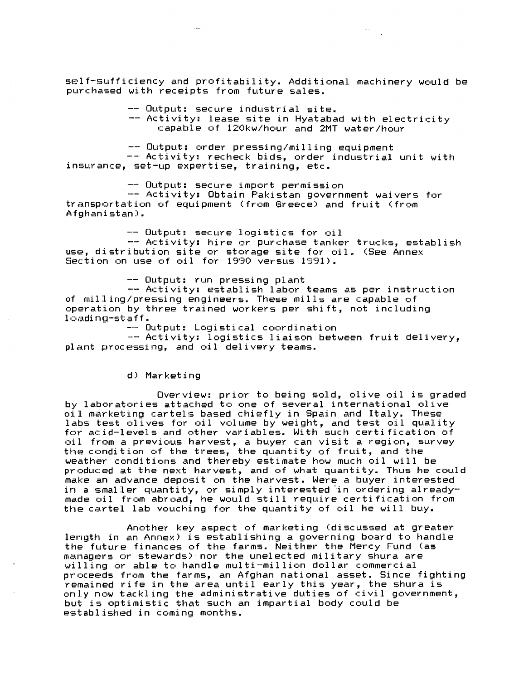self-sufficiency and profitability. Additional machinery would be purchased with receipts from future sales.

-- Output: secure industrial site.

Activity: lease site in Hyatabad with electricity capable of 120kw/hour and 2MT water/hour

 $\label{eq:1} \begin{array}{cc} \mathcal{L}_{\mathcal{A}} & \mathcal{L}_{\mathcal{A}} \\ \mathcal{L}_{\mathcal{A}} & \mathcal{L}_{\mathcal{A}} \end{array}$ 

-- Output: order pressing/milling equipment

Activity: recheck bids, order industrial unit with insurance, set-up expertise, training, etc.

-- Output: secure import permission -- Activity: Obtain Pakistan government waivers for transportation of equipment (from Greece) and fruit (from Afghani stan).

-- Output: secure logistics for oil

-- Activity: hire or purchase tanker trucks, establish use, distribution site or storage site for oil. CSee Annex Section on use of oil for 1990 versus 1991).

-- Output: run pressing plant

-- Activity: establish labor teams as per instruction of milling/pressing engineers. These mills are capable of operation by three trained workers per shift, not including  $l$  $oding$ -staff.

-- Output: Logistical coordination

-- Activity: logistics liaison between fruit delivery, plant processing, and oil delivery teams.

d) Marketing

Overview: prior to being sold, olive oil is graded by laboratories attached to one of several international olive oil marketing cartels based chiefly in Spain and Italy. These labs test olives for oil volume by weight, and test oil quality for acid-levels and other variables. With such certification of oil from *a* previous harvest, *a* buyer can visit *a* region, survey the condition of the trees, the quantity of fruit, and the weather conditions and thereby estimate how much oil will be produced at the next harvest, and of what quantity. Thus he could make an advance deposit on the harvest. Were *a* buyer interested in a smaller quantity, or simply interested in ordering alreadymade oil from abroad, he would still require certification from the cartel lab vouching for the quantity of oil he will buy.

Another key aspect of marketing (discussed at greater length in an Annex) is establishing *a* governing board to handle the future finances of the farms. Neither the Mercy Fund Cas managers or stewards) nor the unelected military shura are willing or able to handle multi-million dollar commercial prcceeds from the farms, an Afghan national asset. Since fighting remained rife in the area until early this year, the shura is only now tackling the administrative duties of civil government, but is optimistic that such an impartial body could be established in coming months.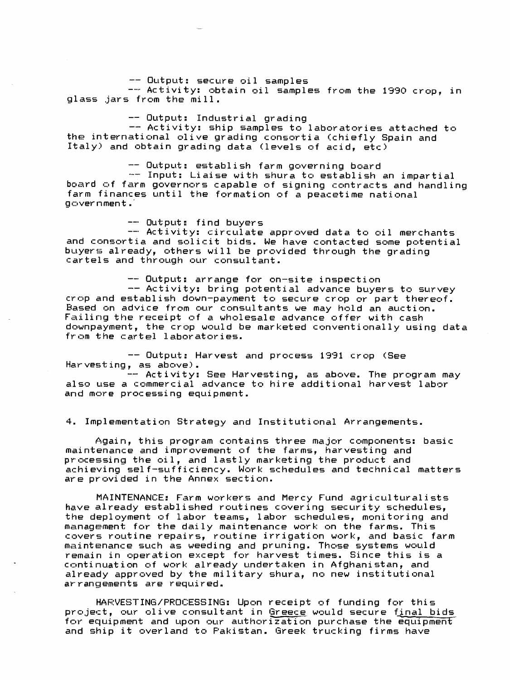-- Output: secure oil samples

-- Activity: obtain oil samples from the 1990 crop, in glass jars from the mill.

-- Output: Industrial grading

-- Activity: ship samples to laboratories attached to the international olive grading consortia (chiefly Spain and Italy) and obtain grading data (levels of acid, etc)

-- Output: establish farm governing board

-- Input: Liaise with shura to establish an impartial board of farm governors capable of signing contracts and handling farm finances until the formation of *a* peacetime national go:::overnment .·

-- Output: find buyers

Activity: circulate approved data to oil merchants and consortia and solicit bids. We have contacted some potential buyers already, others will be provided through the grading cartels and through our consultant.

-- Output: arrange for on-site inspection

-- Activity: bring potential advance buyers to survey crop and establish down-payment to secure crop or part thereof. Based on advice from our consultants we may hold an auction. Failing the receipt of *a* wholesale advance offer with cash downpayment, the crop would be marketed conventionally using data from the cartel laboratories.

-- Output: Harvest and process 1991 crop <See Harvesting, as above).

-- Activity: See Harvesting, as above. The program may also use *a* commercial advance to hire additional harvest labor and more processing equipment.

4. Implementation Strategy and Institutional Arrangements.

Again, this program contains three major components: basic maintenance and improvement of the farms, harvesting and processing the oil, and lastly marketing the product and achieving self-sufficiency. Work schedules and technical matters are provided in the Annex section.

MAINTENANCE: Farm workers and Mercy Fund agriculturalists have already established routines covering security schedules, the deployment of labor teams, labor schedules, monitoring and management for the daily maintenance work on the farms. This covers routine repairs, routine irrigation work, and basic farm maintenance such as weeding and pruning. Those systems would remain in operation except for harvest times. Since this is *<sup>a</sup>* continuation of work already undertaken in Afghanistan, and already approved by the military shura, no new institutional arrangements are required.

HARVESTING/PROCESSING: Upon receipt of funding for this project, our olive consultant in Greece would secure final bids for equipment and upon our authorization purchase the equipment and ship it overland to Pakistan. Greek trucking firms have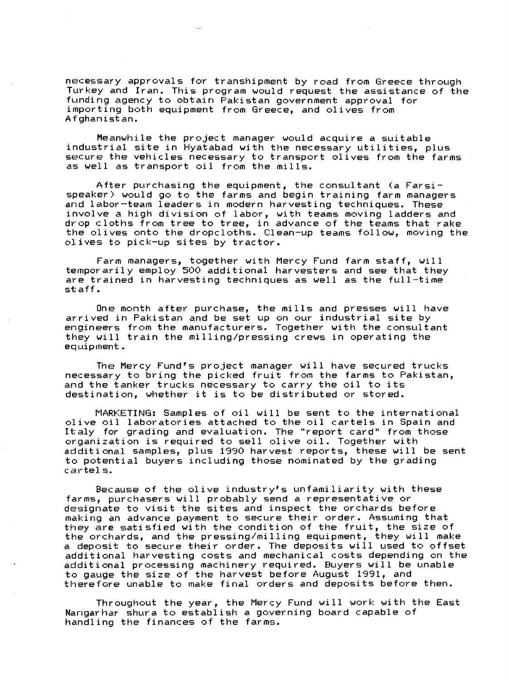necessary approvals for transhipment by road from Greece through Turkey and Iran. This program would request the assistance of the funding agency to obtain Pakistan government approval for importing both equipment from Greece, and olives from Afghanistan.

Meanwhile the project manager would acquire *a* suitable industrial site in Hyatabad with the necessary utilities, plus secure the vehicles necessary to transport olives from the farms as well as transport oil from the mills.

After purchasing the equipment, the consultant (a Farsispeaker) would go to the farms and begin training farm managers and labor-team leaders in modern harvesting techniques. These involve a high division of labor, with teams moving ladders and drop cloths from tree to tree, in advance of the teams that rake the olives onto the dropcloths. Clean-up teams follow, moving the olives to pick-up sites by tractor.

Farm managers, together with Mercy Fund farm staff, will temporarily employ 500 additional harvesters and see that they are trained in harvesting techniques as well as the full-time staff.

One month after purchase, the mills and presses will have arrived in Pakistan and be set up on our industrial site by engineers from the manufacturers. Together with the consultant they will train the milling/pressing crews in operating the equipment;.

The Mercy Fund's project manager will have secured trucks necessary to bring the picked fruit from the farms to Pakistan, and the tanker trucks necessary to carry the oil to its destination, whether it is to be distributed or stored.

MARKETING: Samples of oil will be sent to the international olive oil laboratories attached to the oil cartels in Spain and Italy for grading and evaluation. The "report card" from those organization is required to sell olive oil. Together with additional samples, plus 1990 harvest reports, these will be sent to potential buyers including those nominated by the grading cartels.

Because of the olive industry's unfamiliarity with these farms, purchasers will probably send *a* representative or designate to visit the sites and inspect the orchards before making an advance payment to secure their order. Assuming that they are satisfied with the condition of the fruit, the size of the orchards, and the pressing/milling equipment, they will make *<sup>a</sup>*deposit to secure their order. The deposits will used to offset additional harvesting costs and mechanical costs depending on the additional processing machinery required. Buyers will be unable to gauge the size of the harvest before August 1991, and therefore unable to make final orders and deposits before then.

Throughout the year, the Mercy Fund will work with the East Nangarhar shura to establish *a* governing board capable of handling the finances of the farms.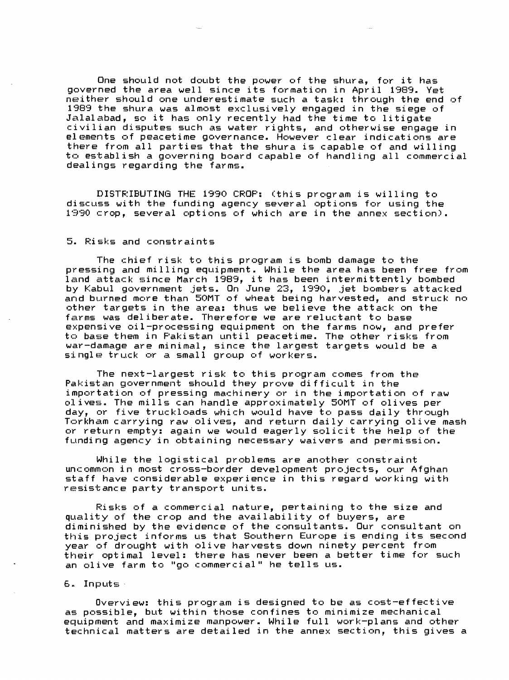One should not doubt the power of the shura, for it has governed the *area* well since its formation in April 1989. Yet neither should one underestimate such *a* task: through the end of 1989 the shura was almost exclusively engaged in the siege of Jalalabad, so it has only recently had the time to litigate civilian disputes such as water rights, and otherwise engage in elements of peacetime governance. However clear indications *are*  there from all parties that the shura is capable of and willing to establish a governing board capable of handling all commercial dealings regarding the farms.

DISTRIBUTING THE 1990 CROP: (this program is willing to discuss with the funding agency several options for using the 1990 crop, several options of which are in the annex section).

### 5. Risks and constraints

The chief risk to this program is bomb damage to the pressing and milling equipment. While the *area* has been free from land attack since March 1989, it has been intermittently bombed by Kabul government jets. On June 23, 1990, jet bombers attacked and burned more than 50MT of wheat being harvested, and struck no other targets in the *area:* thus we believe the attack on the farms was deliberate. Therefore we *are* reluctant to base expensive oil-processing equipment on the farms now, and prefer to base them in Pakistan until peacetime. The other risks from war-damage *are* minimal, since the largest targets would be *<sup>a</sup>* single truck or a small group of workers.

The next-largest risk to this program comes from the Pakistan government should they prove difficult in the importation of pressing machinery or in the importation of raw olives. The mills can handle approximately 50MT of olives per day, or five truckloads which would have to pass daily through Torkham carrying raw olives, and return daily carrying olive mash or return empty: again we would eagerly solicit the help of the funding agency in obtaining necessary waivers and permission.

While the logistical problems *are* another constraint uncommon in most cross-border development projects, our Afghan staff have considerable experience in this regard working with resistance party transport units.

Risks of *a* commercial nature, pertaining to the size and quality of the crop and the availability of buyers, *are*  diminished by the evidence of the consultants. Our consultant on this project informs us that Southern Europe is ending its second year of drought with olive harvests down ninety percent from their optimal level: there has never been *a* better time for such an olive farm to "go commercial" he tells us.

 $6.$  Inputs

Overview: this program is designed to be as cost-effective as possible, but within those confines to minimize mechanical equipment and maximize manpower. While full work-plans and other technical matters *are* detailed in the annex section, this gives *a*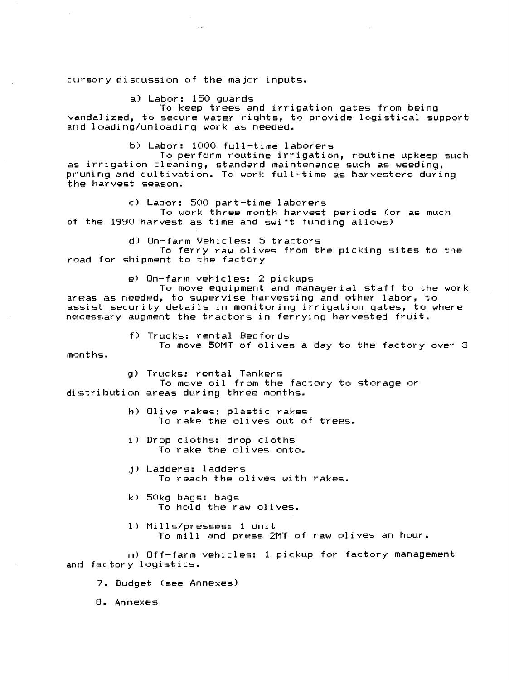cursory discussion of the major inputs.

a) Labor: 150 guards

To keep trees and irrigation gates from being vandalized, to secure water rights, to provide logistical support and loading/unloading work as needed.

b) Labor: 1000 full-time laborers

To perform routine irrigation, routine upkeep such as irrigation cleaning, standard maintenance such as weeding, pruning and cultivation. To work full-time as harvesters during the harvest season.

c) Labor: 500 part-time laborers

To work three month harvest periods Cor as much of the 1990 harvest as time and swift funding allows)

d) On-farm Vehicles: 5 tractors

To ferry raw olives from the picking sites to the road for shipment to the factory

e) On-farm vehicles: 2 pickups

To move equipment and managerial staff to the work areas as needed, to supervise harvesting and other labor, to assist security details in monitoring irrigation gates, to where necessary augment the tractors in ferrying harvested fruit.

f) Trucks: rental Bedfords

To move 50MT of olives *a* day to the factory over 3 months.

g) Trucks: rental Tankers

To move oil from the factory to storage or distribution areas during three months.

- h) Olive rakes: plastic rakes To rake the olives out of trees.
- i) Drop cloths: drop cloths To rake the olives onto.
- j) Ladders: ladders To reach the olives with rakes.
- k) 50kg bags: bags To hold the raw olives.
- 1) Mills/presses: 1 unit To mill and press 2MT of raw olives an hour.

m) Off-farm vehicles: 1 pickup for factory management and factory logistics.

7. Budget (see Annexes)

8. Annexes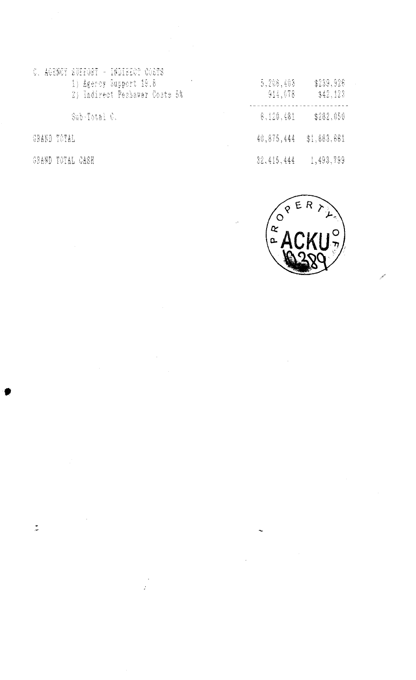C. AGENCY SUPPORT - INDIRECT COSTS 1) Agency Support 19.8<br>1) Agency Support 19.8<br>2) Indirect Pechawar Costs 5%

Sub-Total C.

**GRAND TOTAL** 

 $\frac{1}{\sqrt{2}}$ 

GRAND TOTAL CASH

| 5,206,403<br>914,678 |  | \$239,926<br>\$42,123 |
|----------------------|--|-----------------------|
| 6.120.481            |  | \$282,050             |
| 40.875.444           |  | \$1,883.661           |
| 32.415.444           |  | 1,493,799             |